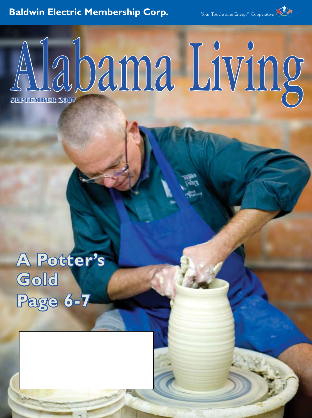# **Baldwin Electric Membership Corp.**

Your Touchstone Energy® Cooperative

# Alabama Living

**A Potter's Gold Page 6-7**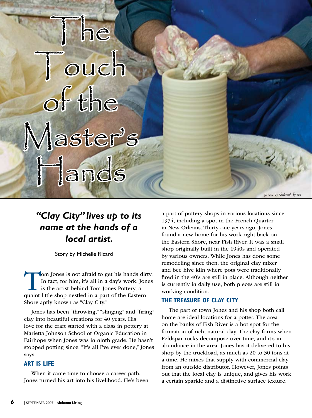# he ouch of the Master's Hands

*photo by Gabriel Tynes*

## *"Clay City" lives up to its name at the hands of a local artist.*

Story by Michelle Ricard

Tom Jones is not afraid to get his hands dirty.<br>In fact, for him, it's all in a day's work. Jones<br>is the artist behind Tom Jones Pottery, a<br>quaint little shop nestled in a part of the Eastern In fact, for him, it's all in a day's work. Jones is the artist behind Tom Jones Pottery, a quaint little shop nestled in a part of the Eastern Shore aptly known as "Clay City."

Jones has been "throwing," "slinging" and "firing" clay into beautiful creations for 40 years. His love for the craft started with a class in pottery at Marietta Johnson School of Organic Education in Fairhope when Jones was in ninth grade. He hasn't stopped potting since. "It's all I've ever done," Jones says.

### **Art is Life**

When it came time to choose a career path, Jones turned his art into his livelihood. He's been a part of pottery shops in various locations since 1974, including a spot in the French Quarter in New Orleans. Thirty-one years ago, Jones found a new home for his work right back on the Eastern Shore, near Fish River. It was a small shop originally built in the 1940s and operated by various owners. While Jones has done some remodeling since then, the original clay mixer and bee hive kiln where pots were traditionally fired in the 40's are still in place. Although neither is currently in daily use, both pieces are still in working condition.

### **The Treasure of Clay City**

The part of town Jones and his shop both call home are ideal locations for a potter. The area on the banks of Fish River is a hot spot for the formation of rich, natural clay. The clay forms when Feldspar rocks decompose over time, and it's in abundance in the area. Jones has it delivered to his shop by the truckload, as much as 20 to 30 tons at a time. He mixes that supply with commercial clay from an outside distributor. However, Jones points out that the local clay is unique, and gives his work a certain sparkle and a distinctive surface texture.